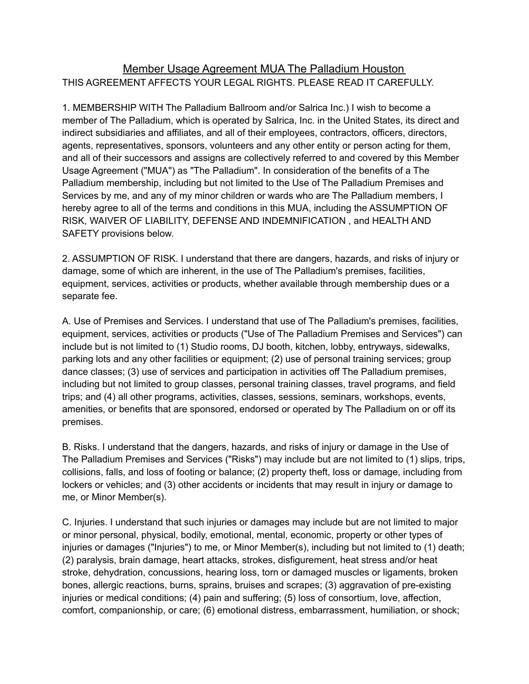## Member Usage Agreement MUA The Palladium Houston THIS AGREEMENT AFFECTS YOUR LEGAL RIGHTS. PLEASE READ IT CAREFULLY.

1. MEMBERSHIP WITH The Palladium Ballroom and/or Salrica Inc.) I wish to become a member of The Palladium, which is operated by Salrica, Inc. in the United States, its direct and indirect subsidiaries and affiliates, and all of their employees, contractors, officers, directors, agents, representatives, sponsors, volunteers and any other entity or person acting for them, and all of their successors and assigns are collectively referred to and covered by this Member Usage Agreement ("MUA") as "The Palladium". In consideration of the benefits of a The Palladium membership, including but not limited to the Use of The Palladium Premises and Services by me, and any of my minor children or wards who are The Palladium members, I hereby agree to all of the terms and conditions in this MUA, including the ASSUMPTION OF RISK, WAIVER OF LIABILITY, DEFENSE AND INDEMNIFICATION , and HEALTH AND SAFETY provisions below.

2. ASSUMPTION OF RISK. I understand that there are dangers, hazards, and risks of injury or damage, some of which are inherent, in the use of The Palladium's premises, facilities, equipment, services, activities or products, whether available through membership dues or a separate fee.

A. Use of Premises and Services. I understand that use of The Palladium's premises, facilities, equipment, services, activities or products ("Use of The Palladium Premises and Services") can include but is not limited to (1) Studio rooms, DJ booth, kitchen, lobby, entryways, sidewalks, parking lots and any other facilities or equipment; (2) use of personal training services; group dance classes; (3) use of services and participation in activities off The Palladium premises, including but not limited to group classes, personal training classes, travel programs, and field trips; and (4) all other programs, activities, classes, sessions, seminars, workshops, events, amenities, or benefits that are sponsored, endorsed or operated by The Palladium on or off its premises.

B. Risks. I understand that the dangers, hazards, and risks of injury or damage in the Use of The Palladium Premises and Services ("Risks") may include but are not limited to (1) slips, trips, collisions, falls, and loss of footing or balance; (2) property theft, loss or damage, including from lockers or vehicles; and (3) other accidents or incidents that may result in injury or damage to me, or Minor Member(s).

C. Injuries. I understand that such injuries or damages may include but are not limited to major or minor personal, physical, bodily, emotional, mental, economic, property or other types of injuries or damages ("Injuries") to me, or Minor Member(s), including but not limited to (1) death; (2) paralysis, brain damage, heart attacks, strokes, disfigurement, heat stress and/or heat stroke, dehydration, concussions, hearing loss, torn or damaged muscles or ligaments, broken bones, allergic reactions, burns, sprains, bruises and scrapes; (3) aggravation of pre-existing injuries or medical conditions; (4) pain and suffering; (5) loss of consortium, love, affection, comfort, companionship, or care; (6) emotional distress, embarrassment, humiliation, or shock;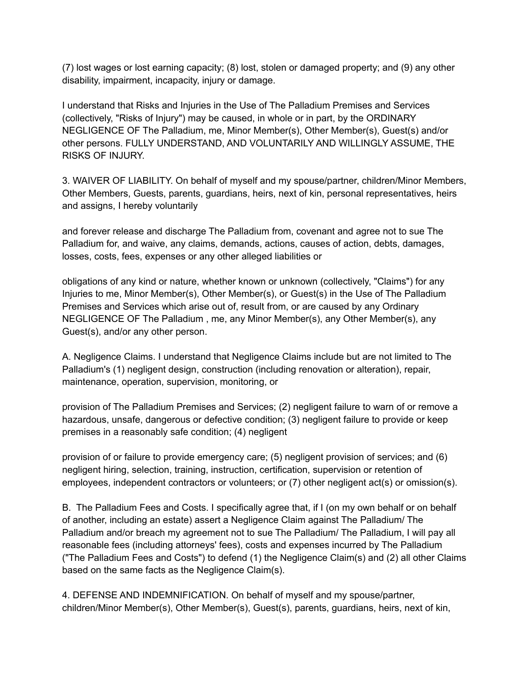(7) lost wages or lost earning capacity; (8) lost, stolen or damaged property; and (9) any other disability, impairment, incapacity, injury or damage.

I understand that Risks and Injuries in the Use of The Palladium Premises and Services (collectively, "Risks of Injury") may be caused, in whole or in part, by the ORDINARY NEGLIGENCE OF The Palladium, me, Minor Member(s), Other Member(s), Guest(s) and/or other persons. FULLY UNDERSTAND, AND VOLUNTARILY AND WILLINGLY ASSUME, THE RISKS OF INJURY.

3. WAIVER OF LIABILITY. On behalf of myself and my spouse/partner, children/Minor Members, Other Members, Guests, parents, guardians, heirs, next of kin, personal representatives, heirs and assigns, I hereby voluntarily

and forever release and discharge The Palladium from, covenant and agree not to sue The Palladium for, and waive, any claims, demands, actions, causes of action, debts, damages, losses, costs, fees, expenses or any other alleged liabilities or

obligations of any kind or nature, whether known or unknown (collectively, "Claims") for any Injuries to me, Minor Member(s), Other Member(s), or Guest(s) in the Use of The Palladium Premises and Services which arise out of, result from, or are caused by any Ordinary NEGLIGENCE OF The Palladium , me, any Minor Member(s), any Other Member(s), any Guest(s), and/or any other person.

A. Negligence Claims. I understand that Negligence Claims include but are not limited to The Palladium's (1) negligent design, construction (including renovation or alteration), repair, maintenance, operation, supervision, monitoring, or

provision of The Palladium Premises and Services; (2) negligent failure to warn of or remove a hazardous, unsafe, dangerous or defective condition; (3) negligent failure to provide or keep premises in a reasonably safe condition; (4) negligent

provision of or failure to provide emergency care; (5) negligent provision of services; and (6) negligent hiring, selection, training, instruction, certification, supervision or retention of employees, independent contractors or volunteers; or (7) other negligent act(s) or omission(s).

B. The Palladium Fees and Costs. I specifically agree that, if I (on my own behalf or on behalf of another, including an estate) assert a Negligence Claim against The Palladium/ The Palladium and/or breach my agreement not to sue The Palladium/ The Palladium, I will pay all reasonable fees (including attorneys' fees), costs and expenses incurred by The Palladium ("The Palladium Fees and Costs") to defend (1) the Negligence Claim(s) and (2) all other Claims based on the same facts as the Negligence Claim(s).

4. DEFENSE AND INDEMNIFICATION. On behalf of myself and my spouse/partner, children/Minor Member(s), Other Member(s), Guest(s), parents, guardians, heirs, next of kin,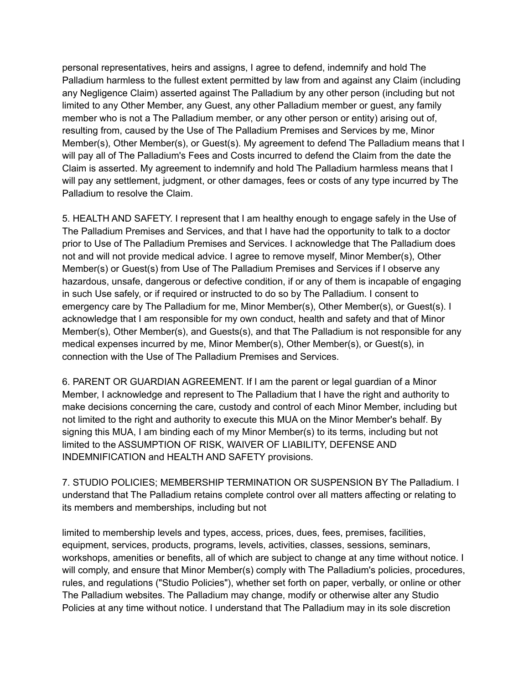personal representatives, heirs and assigns, I agree to defend, indemnify and hold The Palladium harmless to the fullest extent permitted by law from and against any Claim (including any Negligence Claim) asserted against The Palladium by any other person (including but not limited to any Other Member, any Guest, any other Palladium member or guest, any family member who is not a The Palladium member, or any other person or entity) arising out of, resulting from, caused by the Use of The Palladium Premises and Services by me, Minor Member(s), Other Member(s), or Guest(s). My agreement to defend The Palladium means that I will pay all of The Palladium's Fees and Costs incurred to defend the Claim from the date the Claim is asserted. My agreement to indemnify and hold The Palladium harmless means that I will pay any settlement, judgment, or other damages, fees or costs of any type incurred by The Palladium to resolve the Claim.

5. HEALTH AND SAFETY. I represent that I am healthy enough to engage safely in the Use of The Palladium Premises and Services, and that I have had the opportunity to talk to a doctor prior to Use of The Palladium Premises and Services. I acknowledge that The Palladium does not and will not provide medical advice. I agree to remove myself, Minor Member(s), Other Member(s) or Guest(s) from Use of The Palladium Premises and Services if I observe any hazardous, unsafe, dangerous or defective condition, if or any of them is incapable of engaging in such Use safely, or if required or instructed to do so by The Palladium. I consent to emergency care by The Palladium for me, Minor Member(s), Other Member(s), or Guest(s). I acknowledge that I am responsible for my own conduct, health and safety and that of Minor Member(s), Other Member(s), and Guests(s), and that The Palladium is not responsible for any medical expenses incurred by me, Minor Member(s), Other Member(s), or Guest(s), in connection with the Use of The Palladium Premises and Services.

6. PARENT OR GUARDIAN AGREEMENT. If I am the parent or legal guardian of a Minor Member, I acknowledge and represent to The Palladium that I have the right and authority to make decisions concerning the care, custody and control of each Minor Member, including but not limited to the right and authority to execute this MUA on the Minor Member's behalf. By signing this MUA, I am binding each of my Minor Member(s) to its terms, including but not limited to the ASSUMPTION OF RISK, WAIVER OF LIABILITY, DEFENSE AND INDEMNIFICATION and HEALTH AND SAFETY provisions.

7. STUDIO POLICIES; MEMBERSHIP TERMINATION OR SUSPENSION BY The Palladium. I understand that The Palladium retains complete control over all matters affecting or relating to its members and memberships, including but not

limited to membership levels and types, access, prices, dues, fees, premises, facilities, equipment, services, products, programs, levels, activities, classes, sessions, seminars, workshops, amenities or benefits, all of which are subject to change at any time without notice. I will comply, and ensure that Minor Member(s) comply with The Palladium's policies, procedures, rules, and regulations ("Studio Policies"), whether set forth on paper, verbally, or online or other The Palladium websites. The Palladium may change, modify or otherwise alter any Studio Policies at any time without notice. I understand that The Palladium may in its sole discretion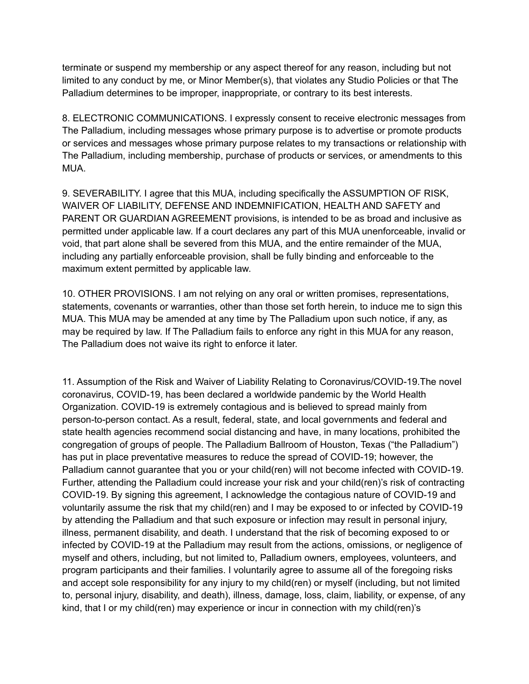terminate or suspend my membership or any aspect thereof for any reason, including but not limited to any conduct by me, or Minor Member(s), that violates any Studio Policies or that The Palladium determines to be improper, inappropriate, or contrary to its best interests.

8. ELECTRONIC COMMUNICATIONS. I expressly consent to receive electronic messages from The Palladium, including messages whose primary purpose is to advertise or promote products or services and messages whose primary purpose relates to my transactions or relationship with The Palladium, including membership, purchase of products or services, or amendments to this MUA.

9. SEVERABILITY. I agree that this MUA, including specifically the ASSUMPTION OF RISK, WAIVER OF LIABILITY, DEFENSE AND INDEMNIFICATION, HEALTH AND SAFETY and PARENT OR GUARDIAN AGREEMENT provisions, is intended to be as broad and inclusive as permitted under applicable law. If a court declares any part of this MUA unenforceable, invalid or void, that part alone shall be severed from this MUA, and the entire remainder of the MUA, including any partially enforceable provision, shall be fully binding and enforceable to the maximum extent permitted by applicable law.

10. OTHER PROVISIONS. I am not relying on any oral or written promises, representations, statements, covenants or warranties, other than those set forth herein, to induce me to sign this MUA. This MUA may be amended at any time by The Palladium upon such notice, if any, as may be required by law. If The Palladium fails to enforce any right in this MUA for any reason, The Palladium does not waive its right to enforce it later.

11. Assumption of the Risk and Waiver of Liability Relating to Coronavirus/COVID-19.The novel coronavirus, COVID-19, has been declared a worldwide pandemic by the World Health Organization. COVID-19 is extremely contagious and is believed to spread mainly from person-to-person contact. As a result, federal, state, and local governments and federal and state health agencies recommend social distancing and have, in many locations, prohibited the congregation of groups of people. The Palladium Ballroom of Houston, Texas ("the Palladium") has put in place preventative measures to reduce the spread of COVID-19; however, the Palladium cannot guarantee that you or your child(ren) will not become infected with COVID-19. Further, attending the Palladium could increase your risk and your child(ren)'s risk of contracting COVID-19. By signing this agreement, I acknowledge the contagious nature of COVID-19 and voluntarily assume the risk that my child(ren) and I may be exposed to or infected by COVID-19 by attending the Palladium and that such exposure or infection may result in personal injury, illness, permanent disability, and death. I understand that the risk of becoming exposed to or infected by COVID-19 at the Palladium may result from the actions, omissions, or negligence of myself and others, including, but not limited to, Palladium owners, employees, volunteers, and program participants and their families. I voluntarily agree to assume all of the foregoing risks and accept sole responsibility for any injury to my child(ren) or myself (including, but not limited to, personal injury, disability, and death), illness, damage, loss, claim, liability, or expense, of any kind, that I or my child(ren) may experience or incur in connection with my child(ren)'s